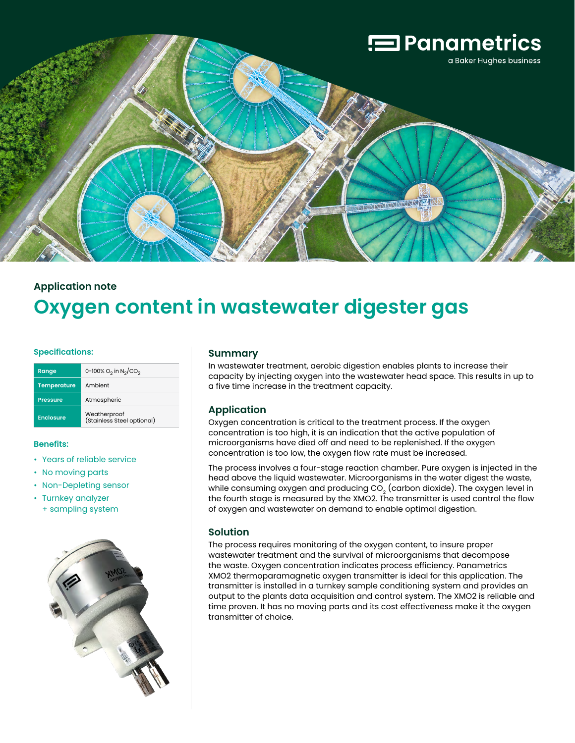

# **Application note Oxygen content in wastewater digester gas**

#### **Specifications:**

| Range              | 0-100% $O_2$ in N <sub>2</sub> /CO <sub>2</sub> |
|--------------------|-------------------------------------------------|
| <b>Temperature</b> | Ambient                                         |
| <b>Pressure</b>    | Atmospheric                                     |
| <b>Enclosure</b>   | Weatherproof<br>(Stainless Steel optional)      |

#### **Benefits:**

- Years of reliable service
- No moving parts
- Non-Depleting sensor
- Turnkey analyzer + sampling system



#### **Summary**

In wastewater treatment, aerobic digestion enables plants to increase their capacity by injecting oxygen into the wastewater head space. This results in up to a five time increase in the treatment capacity.

## **Application**

Oxygen concentration is critical to the treatment process. If the oxygen concentration is too high, it is an indication that the active population of microorganisms have died off and need to be replenished. If the oxygen concentration is too low, the oxygen flow rate must be increased.

The process involves a four-stage reaction chamber. Pure oxygen is injected in the head above the liquid wastewater. Microorganisms in the water digest the waste, while consuming oxygen and producing  $CO<sub>2</sub>$  (carbon dioxide). The oxygen level in the fourth stage is measured by the XMO2. The transmitter is used control the flow of oxygen and wastewater on demand to enable optimal digestion.

### **Solution**

The process requires monitoring of the oxygen content, to insure proper wastewater treatment and the survival of microorganisms that decompose the waste. Oxygen concentration indicates process efficiency. Panametrics XMO2 thermoparamagnetic oxygen transmitter is ideal for this application. The transmitter is installed in a turnkey sample conditioning system and provides an output to the plants data acquisition and control system. The XMO2 is reliable and time proven. It has no moving parts and its cost effectiveness make it the oxygen transmitter of choice.